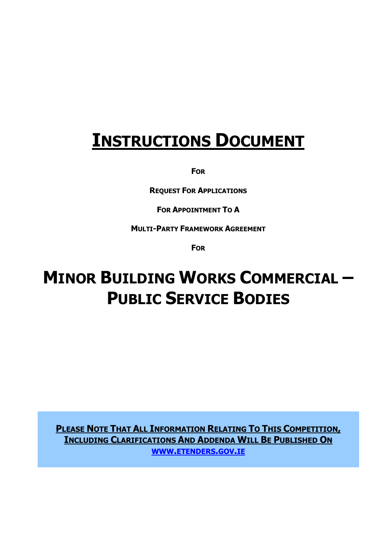# **INSTRUCTIONS DOCUMENT**

**FOR** 

REQUEST FOR APPLICATIONS

FOR APPOINTMENT TO A

MULTI-PARTY FRAMEWORK AGREEMENT

**FOR** 

# MINOR BUILDING WORKS COMMERCIAL – PUBLIC SERVICE BODIES

PLEASE NOTE THAT ALL INFORMATION RELATING TO THIS COMPETITION, INCLUDING CLARIFICATIONS AND ADDENDA WILL BE PUBLISHED ON WWW.ETENDERS.GOV.IE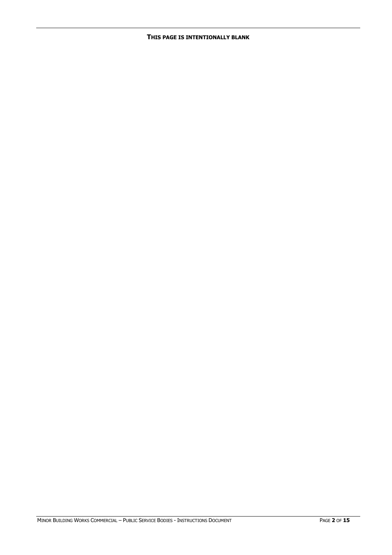#### THIS PAGE IS INTENTIONALLY BLANK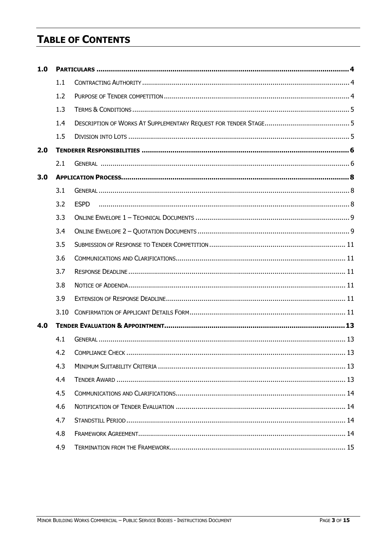# **TABLE OF CONTENTS**

| 1.0 |      |             |  |  |  |
|-----|------|-------------|--|--|--|
|     | 1.1  |             |  |  |  |
|     | 1.2  |             |  |  |  |
|     | 1.3  |             |  |  |  |
|     | 1.4  |             |  |  |  |
|     | 1.5  |             |  |  |  |
| 2.0 |      |             |  |  |  |
|     | 2.1  |             |  |  |  |
| 3.0 |      |             |  |  |  |
|     | 3.1  |             |  |  |  |
|     | 3.2  | <b>ESPD</b> |  |  |  |
|     | 3.3  |             |  |  |  |
|     | 3.4  |             |  |  |  |
|     | 3.5  |             |  |  |  |
|     | 3.6  |             |  |  |  |
|     | 3.7  |             |  |  |  |
|     | 3.8  |             |  |  |  |
|     | 3.9  |             |  |  |  |
|     | 3.10 |             |  |  |  |
| 4.0 |      |             |  |  |  |
|     | 4.1  |             |  |  |  |
|     | 4.2  |             |  |  |  |
|     | 4.3  |             |  |  |  |
|     | 4.4  |             |  |  |  |
|     | 4.5  |             |  |  |  |
|     | 4.6  |             |  |  |  |
|     | 4.7  |             |  |  |  |
|     | 4.8  |             |  |  |  |
|     | 4.9  |             |  |  |  |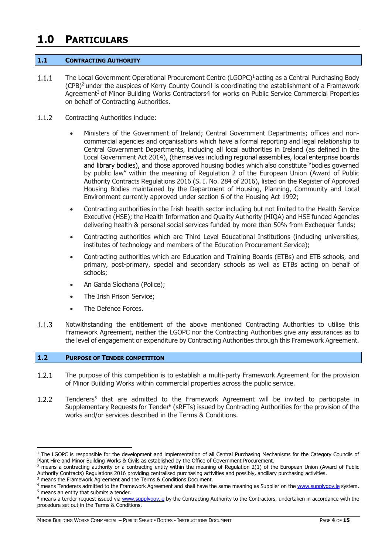## 1.0 PARTICULARS

### 1.1 CONTRACTING AUTHORITY

- $1.1.1$ The Local Government Operational Procurement Centre (LGOPC)<sup>1</sup> acting as a Central Purchasing Body (CPB)<sup>2</sup> under the auspices of Kerry County Council is coordinating the establishment of a Framework Agreement<sup>3</sup> of Minor Building Works Contractors4 for works on Public Service Commercial Properties on behalf of Contracting Authorities.
- $1.1.2$ Contracting Authorities include:
	- Ministers of the Government of Ireland; Central Government Departments; offices and noncommercial agencies and organisations which have a formal reporting and legal relationship to Central Government Departments, including all local authorities in Ireland (as defined in the Local Government Act 2014), (themselves including regional assemblies, local enterprise boards and library bodies), and those approved housing bodies which also constitute "bodies governed by public law" within the meaning of Regulation 2 of the European Union (Award of Public Authority Contracts Regulations 2016 (S. I. No. 284 of 2016), listed on the Register of Approved Housing Bodies maintained by the Department of Housing, Planning, Community and Local Environment currently approved under section 6 of the Housing Act 1992;
	- Contracting authorities in the Irish health sector including but not limited to the Health Service Executive (HSE); the Health Information and Quality Authority (HIQA) and HSE funded Agencies delivering health & personal social services funded by more than 50% from Exchequer funds;
	- Contracting authorities which are Third Level Educational Institutions (including universities, institutes of technology and members of the Education Procurement Service);
	- Contracting authorities which are Education and Training Boards (ETBs) and ETB schools, and primary, post-primary, special and secondary schools as well as ETBs acting on behalf of schools;
	- An Garda Síochana (Police);
	- The Irish Prison Service;
	- The Defence Forces.
- $1.1.3$ Notwithstanding the entitlement of the above mentioned Contracting Authorities to utilise this Framework Agreement, neither the LGOPC nor the Contracting Authorities give any assurances as to the level of engagement or expenditure by Contracting Authorities through this Framework Agreement.

### 1.2 PURPOSE OF TENDER COMPETITION

- $1.2.1$ The purpose of this competition is to establish a multi-party Framework Agreement for the provision of Minor Building Works within commercial properties across the public service.
- $1.2.2$ Tenderers<sup>5</sup> that are admitted to the Framework Agreement will be invited to participate in Supplementary Requests for Tender<sup>6</sup> (SRFTs) issued by Contracting Authorities for the provision of the works and/or services described in the Terms & Conditions.

<sup>5</sup> means an entity that submits a tender.

<sup>&</sup>lt;sup>1</sup> The LGOPC is responsible for the development and implementation of all Central Purchasing Mechanisms for the Category Councils of Plant Hire and Minor Building Works & Civils as established by the Office of Government Procurement.

<sup>2</sup> means a contracting authority or a contracting entity within the meaning of Regulation 2(1) of the European Union (Award of Public Authority Contracts) Regulations 2016 providing centralised purchasing activities and possibly, ancillary purchasing activities.

<sup>&</sup>lt;sup>3</sup> means the Framework Agreement and the Terms & Conditions Document.

<sup>&</sup>lt;sup>4</sup> means Tenderers admitted to the Framework Agreement and shall have the same meaning as Supplier on the www.supplygov.ie system.

<sup>&</sup>lt;sup>6</sup> means a tender request issued via www.supplygov.ie by the Contracting Authority to the Contractors, undertaken in accordance with the procedure set out in the Terms & Conditions.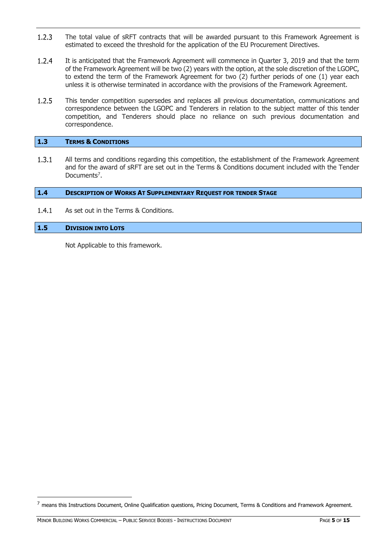- $1.2.3$ The total value of sRFT contracts that will be awarded pursuant to this Framework Agreement is estimated to exceed the threshold for the application of the EU Procurement Directives.
- $1.2.4$ It is anticipated that the Framework Agreement will commence in Quarter 3, 2019 and that the term of the Framework Agreement will be two (2) years with the option, at the sole discretion of the LGOPC, to extend the term of the Framework Agreement for two (2) further periods of one (1) year each unless it is otherwise terminated in accordance with the provisions of the Framework Agreement.
- $1.2.5$ This tender competition supersedes and replaces all previous documentation, communications and correspondence between the LGOPC and Tenderers in relation to the subject matter of this tender competition, and Tenderers should place no reliance on such previous documentation and correspondence.

### 1.3 TERMS & CONDITIONS

 $1.3.1$ All terms and conditions regarding this competition, the establishment of the Framework Agreement and for the award of sRFT are set out in the Terms & Conditions document included with the Tender Documents<sup>7</sup>.

#### 1.4 DESCRIPTION OF WORKS AT SUPPLEMENTARY REQUEST FOR TENDER STAGE

 $1.4.1$ As set out in the Terms & Conditions.

#### 1.5 DIVISION INTO LOTS

Not Applicable to this framework.

 $^7$  means this Instructions Document, Online Qualification questions, Pricing Document, Terms & Conditions and Framework Agreement.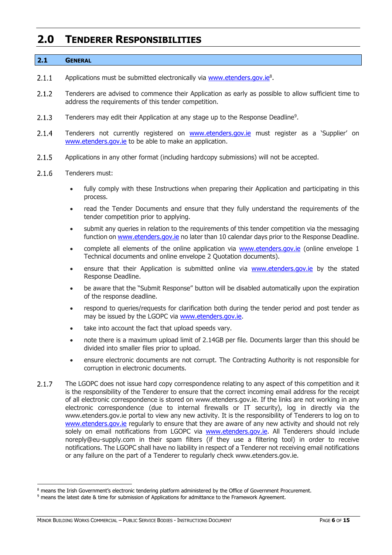## 2.0 TENDERER RESPONSIBILITIES

#### 2.1 GENERAL

- $2.1.1$ Applications must be submitted electronically via **www.etenders.gov.ie**<sup>8</sup>.
- $2.1.2$ Tenderers are advised to commence their Application as early as possible to allow sufficient time to address the requirements of this tender competition.
- $2.1.3$ Tenderers may edit their Application at any stage up to the Response Deadline<sup>9</sup>.
- $2.1.4$ Tenderers not currently registered on **www.etenders.gov.ie** must register as a 'Supplier' on www.etenders.gov.ie to be able to make an application.
- $2.1.5$ Applications in any other format (including hardcopy submissions) will not be accepted.
- $2.1.6$ Tenderers must:
	- fully comply with these Instructions when preparing their Application and participating in this process.
	- read the Tender Documents and ensure that they fully understand the requirements of the tender competition prior to applying.
	- submit any queries in relation to the requirements of this tender competition via the messaging function on www.etenders.gov.ie no later than 10 calendar days prior to the Response Deadline.
	- complete all elements of the online application via www.etenders.gov.ie (online envelope 1 Technical documents and online envelope 2 Quotation documents).
	- ensure that their Application is submitted online via www.etenders.gov.ie by the stated Response Deadline.
	- be aware that the "Submit Response" button will be disabled automatically upon the expiration of the response deadline.
	- respond to queries/requests for clarification both during the tender period and post tender as may be issued by the LGOPC via www.etenders.gov.ie.
	- take into account the fact that upload speeds vary.
	- note there is a maximum upload limit of 2.14GB per file. Documents larger than this should be divided into smaller files prior to upload.
	- ensure electronic documents are not corrupt. The Contracting Authority is not responsible for corruption in electronic documents.
- $2.1.7$ The LGOPC does not issue hard copy correspondence relating to any aspect of this competition and it is the responsibility of the Tenderer to ensure that the correct incoming email address for the receipt of all electronic correspondence is stored on www.etenders.gov.ie. If the links are not working in any electronic correspondence (due to internal firewalls or IT security), log in directly via the www.etenders.gov.ie portal to view any new activity. It is the responsibility of Tenderers to log on to www.etenders.gov.ie regularly to ensure that they are aware of any new activity and should not rely solely on email notifications from LGOPC via www.etenders.gov.ie. All Tenderers should include noreply@eu-supply.com in their spam filters (if they use a filtering tool) in order to receive notifications. The LGOPC shall have no liability in respect of a Tenderer not receiving email notifications or any failure on the part of a Tenderer to regularly check www.etenders.gov.ie.

<sup>&</sup>lt;sup>8</sup> means the Irish Government's electronic tendering platform administered by the Office of Government Procurement.

<sup>9</sup> means the latest date & time for submission of Applications for admittance to the Framework Agreement.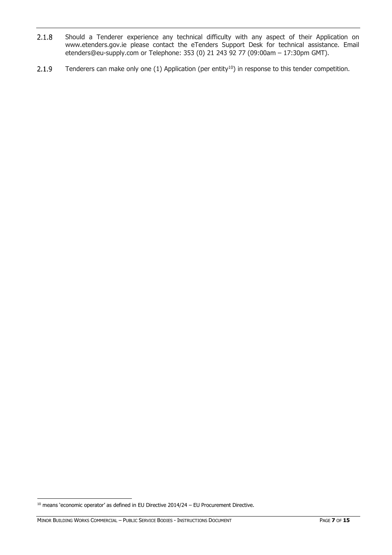- $2.1.8$ Should a Tenderer experience any technical difficulty with any aspect of their Application on www.etenders.gov.ie please contact the eTenders Support Desk for technical assistance. Email etenders@eu-supply.com or Telephone: 353 (0) 21 243 92 77 (09:00am – 17:30pm GMT).
- Tenderers can make only one  $(1)$  Application (per entity<sup>10</sup>) in response to this tender competition.  $2.1.9$

 $10$  means 'economic operator' as defined in EU Directive 2014/24 – EU Procurement Directive.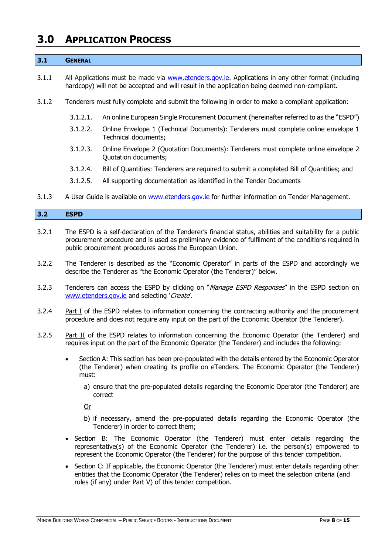## 3.0 APPLICATION PROCESS

#### 3.1 GENERAL

- 3.1.1 All Applications must be made via www.etenders.gov.ie. Applications in any other format (including hardcopy) will not be accepted and will result in the application being deemed non-compliant.
- 3.1.2 Tenderers must fully complete and submit the following in order to make a compliant application:
	- 3.1.2.1. An online European Single Procurement Document (hereinafter referred to as the "ESPD")
	- 3.1.2.2. Online Envelope 1 (Technical Documents): Tenderers must complete online envelope 1 Technical documents;
	- 3.1.2.3. Online Envelope 2 (Quotation Documents): Tenderers must complete online envelope 2 Quotation documents;
	- 3.1.2.4. Bill of Quantities: Tenderers are required to submit a completed Bill of Quantities; and
	- 3.1.2.5. All supporting documentation as identified in the Tender Documents
- 3.1.3 A User Guide is available on www.etenders.gov.ie for further information on Tender Management.

#### 3.2 ESPD

- 3.2.1 The ESPD is a self-declaration of the Tenderer's financial status, abilities and suitability for a public procurement procedure and is used as preliminary evidence of fulfilment of the conditions required in public procurement procedures across the European Union.
- 3.2.2 The Tenderer is described as the "Economic Operator" in parts of the ESPD and accordingly we describe the Tenderer as "the Economic Operator (the Tenderer)" below.
- 3.2.3 Tenderers can access the ESPD by clicking on "*Manage ESPD Responses*" in the ESPD section on www.etenders.gov.ie and selecting 'Create'.
- 3.2.4 Part I of the ESPD relates to information concerning the contracting authority and the procurement procedure and does not require any input on the part of the Economic Operator (the Tenderer).
- 3.2.5 Part II of the ESPD relates to information concerning the Economic Operator (the Tenderer) and requires input on the part of the Economic Operator (the Tenderer) and includes the following:
	- Section A: This section has been pre-populated with the details entered by the Economic Operator (the Tenderer) when creating its profile on eTenders. The Economic Operator (the Tenderer) must:
		- a) ensure that the pre-populated details regarding the Economic Operator (the Tenderer) are correct

Or

- b) if necessary, amend the pre-populated details regarding the Economic Operator (the Tenderer) in order to correct them;
- Section B: The Economic Operator (the Tenderer) must enter details regarding the representative(s) of the Economic Operator (the Tenderer) i.e. the person(s) empowered to represent the Economic Operator (the Tenderer) for the purpose of this tender competition.
- Section C: If applicable, the Economic Operator (the Tenderer) must enter details regarding other entities that the Economic Operator (the Tenderer) relies on to meet the selection criteria (and rules (if any) under Part V) of this tender competition.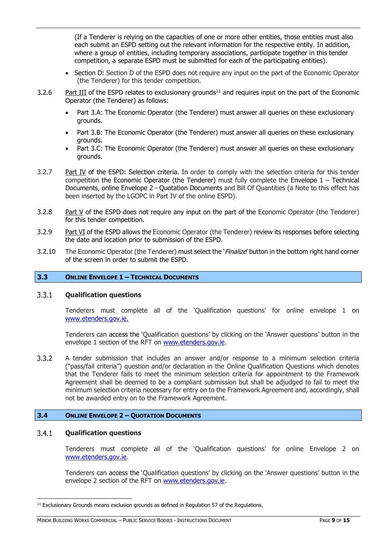(If a Tenderer is relying on the capacities of one or more other entities, those entities must also each submit an ESPD setting out the relevant information for the respective entity. In addition, where a group of entities, including temporary associations, participate together in this tender competition, a separate ESPD must be submitted for each of the participating entities).

- Section D: Section D of the ESPD does not require any input on the part of the Economic Operator (the Tenderer) for this tender competition.
- 3.2.6 Part III of the ESPD relates to exclusionary grounds<sup>11</sup> and requires input on the part of the Economic Operator (the Tenderer) as follows:
	- Part 3.A: The Economic Operator (the Tenderer) must answer all queries on these exclusionary grounds.
	- Part 3.B: The Economic Operator (the Tenderer) must answer all queries on these exclusionary grounds.
	- Part 3.C: The Economic Operator (the Tenderer) must answer all queries on these exclusionary grounds.
- 3.2.7 Part IV of the ESPD: Selection criteria. In order to comply with the selection criteria for this tender competition the Economic Operator (the Tenderer) must fully complete the Envelope 1 – Technical Documents, online Envelope 2 - Quotation Documents and Bill Of Quantities (a Note to this effect has been inserted by the LGOPC in Part IV of the online ESPD).
- 3.2.8 Part V of the ESPD does not require any input on the part of the Economic Operator (the Tenderer) for this tender competition.
- 3.2.9 Part VI of the ESPD allows the Economic Operator (the Tenderer) review its responses before selecting the date and location prior to submission of the ESPD.
- 3.2.10 The Economic Operator (the Tenderer) must select the '*Finalize'* button in the bottom right hand corner of the screen in order to submit the ESPD.

#### 3.3 ONLINE ENVELOPE 1 – TECHNICAL DOCUMENTS

#### $3.3.1$ Qualification questions

Tenderers must complete all of the 'Qualification questions' for online envelope 1 on www.etenders.gov.ie.

Tenderers can access the 'Qualification questions' by clicking on the 'Answer questions' button in the envelope 1 section of the RFT on www.etenders.gov.ie.

 $3.3.2$ A tender submission that includes an answer and/or response to a minimum selection criteria ("pass/fail criteria") question and/or declaration in the Online Qualification Questions which denotes that the Tenderer fails to meet the minimum selection criteria for appointment to the Framework Agreement shall be deemed to be a compliant submission but shall be adjudged to fail to meet the minimum selection criteria necessary for entry on to the Framework Agreement and, accordingly, shall not be awarded entry on to the Framework Agreement.

## 3.4 ONLINE ENVELOPE 2 – QUOTATION DOCUMENTS

#### $3.4.1$ Qualification questions

Tenderers must complete all of the 'Qualification questions' for online Envelope 2 on www.etenders.gov.ie.

Tenderers can access the 'Qualification questions' by clicking on the 'Answer questions' button in the envelope 2 section of the RFT on www.etenders.gov.ie.

 $11$  Exclusionary Grounds means exclusion grounds as defined in Regulation 57 of the Regulations.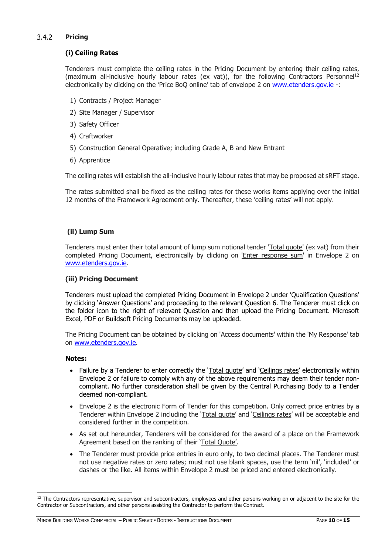#### $3.4.2$ Pricing

### (i) Ceiling Rates

Tenderers must complete the ceiling rates in the Pricing Document by entering their ceiling rates, (maximum all-inclusive hourly labour rates (ex vat)), for the following Contractors Personnel<sup>12</sup> electronically by clicking on the 'Price BoQ online' tab of envelope 2 on www.etenders.gov.ie -:

- 1) Contracts / Project Manager
- 2) Site Manager / Supervisor
- 3) Safety Officer
- 4) Craftworker
- 5) Construction General Operative; including Grade A, B and New Entrant
- 6) Apprentice

The ceiling rates will establish the all-inclusive hourly labour rates that may be proposed at sRFT stage.

The rates submitted shall be fixed as the ceiling rates for these works items applying over the initial 12 months of the Framework Agreement only. Thereafter, these 'ceiling rates' will not apply.

### (ii) Lump Sum

Tenderers must enter their total amount of lump sum notional tender 'Total quote' (ex vat) from their completed Pricing Document, electronically by clicking on 'Enter response sum' in Envelope 2 on www.etenders.gov.ie.

#### (iii) Pricing Document

Tenderers must upload the completed Pricing Document in Envelope 2 under 'Qualification Questions' by clicking 'Answer Questions' and proceeding to the relevant Question 6. The Tenderer must click on the folder icon to the right of relevant Question and then upload the Pricing Document. Microsoft Excel, PDF or Buildsoft Pricing Documents may be uploaded.

The Pricing Document can be obtained by clicking on 'Access documents' within the 'My Response' tab on www.etenders.gov.ie.

#### Notes:

- Failure by a Tenderer to enter correctly the 'Total quote' and 'Ceilings rates' electronically within Envelope 2 or failure to comply with any of the above requirements may deem their tender noncompliant. No further consideration shall be given by the Central Purchasing Body to a Tender deemed non-compliant.
- Envelope 2 is the electronic Form of Tender for this competition. Only correct price entries by a Tenderer within Envelope 2 including the 'Total quote' and 'Ceilings rates' will be acceptable and considered further in the competition.
- As set out hereunder, Tenderers will be considered for the award of a place on the Framework Agreement based on the ranking of their 'Total Quote'.
- The Tenderer must provide price entries in euro only, to two decimal places. The Tenderer must not use negative rates or zero rates; must not use blank spaces, use the term 'nil', 'included' or dashes or the like. All items within Envelope 2 must be priced and entered electronically.

<sup>&</sup>lt;sup>12</sup> The Contractors representative, supervisor and subcontractors, employees and other persons working on or adjacent to the site for the Contractor or Subcontractors, and other persons assisting the Contractor to perform the Contract.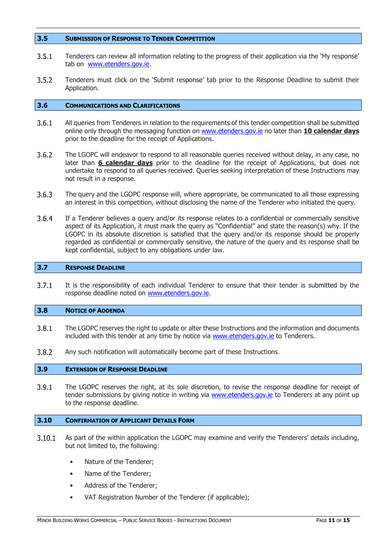#### 3.5 SUBMISSION OF RESPONSE TO TENDER COMPETITION

- $3.5.1$ Tenderers can review all information relating to the progress of their application via the 'My response' tab on www.etenders.gov.ie.
- $3.5.2$ Tenderers must click on the 'Submit response' tab prior to the Response Deadline to submit their Application.

#### 3.6 COMMUNICATIONS AND CLARIFICATIONS

- $3.6.1$ All queries from Tenderers in relation to the requirements of this tender competition shall be submitted online only through the messaging function on www.etenders.gov.ie no later than 10 calendar days prior to the deadline for the receipt of Applications.
- $3.6.2$ The LGOPC will endeavor to respond to all reasonable queries received without delay, in any case, no later than 6 calendar days prior to the deadline for the receipt of Applications, but does not undertake to respond to all queries received. Queries seeking interpretation of these Instructions may not result in a response.
- 3.6.3 The query and the LGOPC response will, where appropriate, be communicated to all those expressing an interest in this competition, without disclosing the name of the Tenderer who initiated the query.
- 3.6.4 If a Tenderer believes a query and/or its response relates to a confidential or commercially sensitive aspect of its Application, it must mark the query as "Confidential" and state the reason(s) why. If the LGOPC in its absolute discretion is satisfied that the query and/or its response should be properly regarded as confidential or commercially sensitive, the nature of the query and its response shall be kept confidential, subject to any obligations under law.

#### 3.7 RESPONSE DEADLINE

 $3.7.1$ It is the responsibility of each individual Tenderer to ensure that their tender is submitted by the response deadline noted on www.etenders.gov.ie.

#### 3.8 NOTICE OF ADDENDA

- $3.8.1$ The LGOPC reserves the right to update or alter these Instructions and the information and documents included with this tender at any time by notice via www.etenders.gov.ie to Tenderers.
- $3.8.2$ Any such notification will automatically become part of these Instructions.

#### 3.9 EXTENSION OF RESPONSE DEADLINE

 $3.9.1$ The LGOPC reserves the right, at its sole discretion, to revise the response deadline for receipt of tender submissions by giving notice in writing via www.etenders.gov.ie to Tenderers at any point up to the response deadline.

#### 3.10 CONFIRMATION OF APPLICANT DETAILS FORM

- $3.10.1$ As part of the within application the LGOPC may examine and verify the Tenderers' details including, but not limited to, the following:
	- Nature of the Tenderer;
	- Name of the Tenderer:
	- Address of the Tenderer;
	- VAT Registration Number of the Tenderer (if applicable);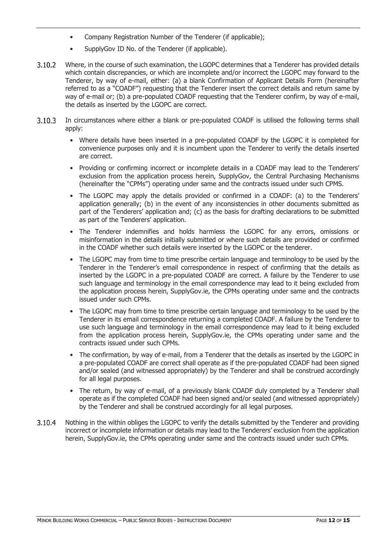- Company Registration Number of the Tenderer (if applicable);
- SupplyGov ID No. of the Tenderer (if applicable).
- $3.10.2$ Where, in the course of such examination, the LGOPC determines that a Tenderer has provided details which contain discrepancies, or which are incomplete and/or incorrect the LGOPC may forward to the Tenderer, by way of e-mail, either: (a) a blank Confirmation of Applicant Details Form (hereinafter referred to as a "COADF") requesting that the Tenderer insert the correct details and return same by way of e-mail or; (b) a pre-populated COADF requesting that the Tenderer confirm, by way of e-mail, the details as inserted by the LGOPC are correct.
- $3.10.3$ In circumstances where either a blank or pre-populated COADF is utilised the following terms shall apply:
	- Where details have been inserted in a pre-populated COADF by the LGOPC it is completed for convenience purposes only and it is incumbent upon the Tenderer to verify the details inserted are correct.
	- Providing or confirming incorrect or incomplete details in a COADF may lead to the Tenderers' exclusion from the application process herein, SupplyGov, the Central Purchasing Mechanisms (hereinafter the "CPMs") operating under same and the contracts issued under such CPMS.
	- The LGOPC may apply the details provided or confirmed in a COADF: (a) to the Tenderers' application generally; (b) in the event of any inconsistencies in other documents submitted as part of the Tenderers' application and; (c) as the basis for drafting declarations to be submitted as part of the Tenderers' application.
	- The Tenderer indemnifies and holds harmless the LGOPC for any errors, omissions or misinformation in the details initially submitted or where such details are provided or confirmed in the COADF whether such details were inserted by the LGOPC or the tenderer.
	- The LGOPC may from time to time prescribe certain language and terminology to be used by the Tenderer in the Tenderer's email correspondence in respect of confirming that the details as inserted by the LGOPC in a pre-populated COADF are correct. A failure by the Tenderer to use such language and terminology in the email correspondence may lead to it being excluded from the application process herein, SupplyGov.ie, the CPMs operating under same and the contracts issued under such CPMs.
	- The LGOPC may from time to time prescribe certain language and terminology to be used by the Tenderer in its email correspondence returning a completed COADF. A failure by the Tenderer to use such language and terminology in the email correspondence may lead to it being excluded from the application process herein, SupplyGov.ie, the CPMs operating under same and the contracts issued under such CPMs.
	- The confirmation, by way of e-mail, from a Tenderer that the details as inserted by the LGOPC in a pre-populated COADF are correct shall operate as if the pre-populated COADF had been signed and/or sealed (and witnessed appropriately) by the Tenderer and shall be construed accordingly for all legal purposes.
	- The return, by way of e-mail, of a previously blank COADF duly completed by a Tenderer shall operate as if the completed COADF had been signed and/or sealed (and witnessed appropriately) by the Tenderer and shall be construed accordingly for all legal purposes.
- 3.10.4 Nothing in the within obliges the LGOPC to verify the details submitted by the Tenderer and providing incorrect or incomplete information or details may lead to the Tenderers' exclusion from the application herein, SupplyGov.ie, the CPMs operating under same and the contracts issued under such CPMs.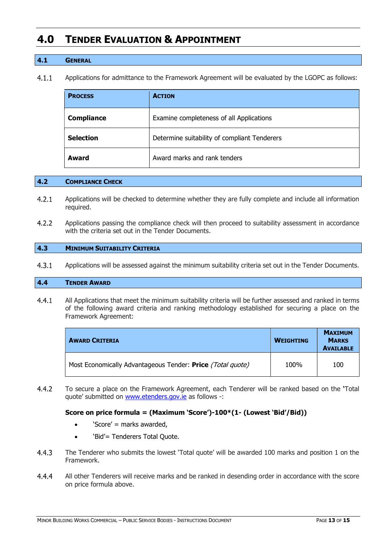## 4.0 TENDER EVALUATION & APPOINTMENT

#### 4.1 GENERAL

 $4.1.1$ Applications for admittance to the Framework Agreement will be evaluated by the LGOPC as follows:

| <b>PROCESS</b>    | <b>ACTION</b>                                |
|-------------------|----------------------------------------------|
| <b>Compliance</b> | Examine completeness of all Applications     |
| <b>Selection</b>  | Determine suitability of compliant Tenderers |
| Award             | Award marks and rank tenders                 |

#### 4.2 COMPLIANCE CHECK

- $4.2.1$ Applications will be checked to determine whether they are fully complete and include all information required.
- $4.2.2$ Applications passing the compliance check will then proceed to suitability assessment in accordance with the criteria set out in the Tender Documents.

#### 4.3 MINIMUM SUITABILITY CRITERIA

 $4.3.1$ Applications will be assessed against the minimum suitability criteria set out in the Tender Documents.

#### 4.4 TENDER AWARD

 $4.4.1$ All Applications that meet the minimum suitability criteria will be further assessed and ranked in terms of the following award criteria and ranking methodology established for securing a place on the Framework Agreement:

| <b>AWARD CRITERIA</b>                                      | <b>WEIGHTING</b> | <b>MAXIMUM</b><br><b>MARKS</b><br><b>AVAILABLE</b> |
|------------------------------------------------------------|------------------|----------------------------------------------------|
| Most Economically Advantageous Tender: Price (Total quote) | 100%             | 100                                                |

 $4.4.2$ To secure a place on the Framework Agreement, each Tenderer will be ranked based on the 'Total quote' submitted on www.etenders.gov.ie as follows -:

#### Score on price formula = (Maximum 'Score')-100\*(1- (Lowest 'Bid'/Bid))

- 'Score' = marks awarded,
- 'Bid'= Tenderers Total Quote.
- The Tenderer who submits the lowest 'Total quote' will be awarded 100 marks and position 1 on the  $4.4.3$ Framework.
- $4.4.4$ All other Tenderers will receive marks and be ranked in desending order in accordance with the score on price formula above.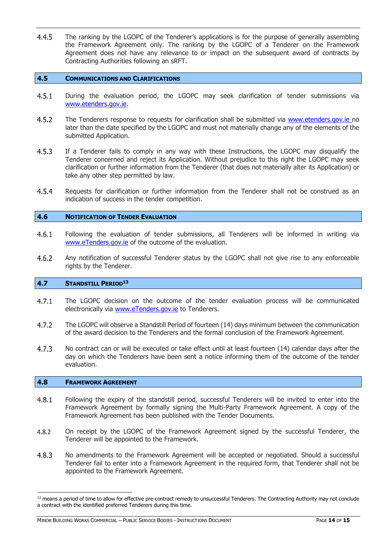$4.4.5$ The ranking by the LGOPC of the Tenderer's applications is for the purpose of generally assembling the Framework Agreement only. The ranking by the LGOPC of a Tenderer on the Framework Agreement does not have any relevance to or impact on the subsequent award of contracts by Contracting Authorities following an sRFT.

#### 4.5 COMMUNICATIONS AND CLARIFICATIONS

- $4.5.1$ During the evaluation period, the LGOPC may seek clarification of tender submissions via www.etenders.gov.ie.
- $4.5.2$ The Tenderers response to requests for clarification shall be submitted via www.etenders.gov.ie no later than the date specified by the LGOPC and must not materially change any of the elements of the submitted Application.
- $4.5.3$ If a Tenderer fails to comply in any way with these Instructions, the LGOPC may disqualify the Tenderer concerned and reject its Application. Without prejudice to this right the LGOPC may seek clarification or further information from the Tenderer (that does not materially alter its Application) or take any other step permitted by law.
- $4.5.4$ Requests for clarification or further information from the Tenderer shall not be construed as an indication of success in the tender competition.

#### 4.6 NOTIFICATION OF TENDER EVALUATION

- $4.6.1$ Following the evaluation of tender submissions, all Tenderers will be informed in writing via www.eTenders.gov.ie of the outcome of the evaluation.
- $4.6.2$ Any notification of successful Tenderer status by the LGOPC shall not give rise to any enforceable rights by the Tenderer.

#### 4.7 STANDSTILL PERIOD<sup>13</sup>

- $4.7.1$ The LGOPC decision on the outcome of the tender evaluation process will be communicated electronically via **www.eTenders.gov.ie** to Tenderers.
- $4.7.2$ The LGOPC will observe a Standstill Period of fourteen (14) days minimum between the communication of the award decision to the Tenderers and the formal conclusion of the Framework Agreement.
- $4.7.3$ No contract can or will be executed or take effect until at least fourteen (14) calendar days after the day on which the Tenderers have been sent a notice informing them of the outcome of the tender evaluation.

#### 4.8 FRAMEWORK AGREEMENT

- $4.8.1$ Following the expiry of the standstill period, successful Tenderers will be invited to enter into the Framework Agreement by formally signing the Multi-Party Framework Agreement. A copy of the Framework Agreement has been published with the Tender Documents.
- 4.8.2 On receipt by the LGOPC of the Framework Agreement signed by the successful Tenderer, the Tenderer will be appointed to the Framework.
- $4.8.3$ No amendments to the Framework Agreement will be accepted or negotiated. Should a successful Tenderer fail to enter into a Framework Agreement in the required form, that Tenderer shall not be appointed to the Framework Agreement.

<sup>&</sup>lt;sup>13</sup> means a period of time to allow for effective pre-contract remedy to unsuccessful Tenderers. The Contracting Authority may not conclude a contract with the identified preferred Tenderers during this time.

MINOR BUILDING WORKS COMMERCIAL – PUBLIC SERVICE BODIES - INSTRUCTIONS DOCUMENT **FOUR SERVICE 14 OF 15**